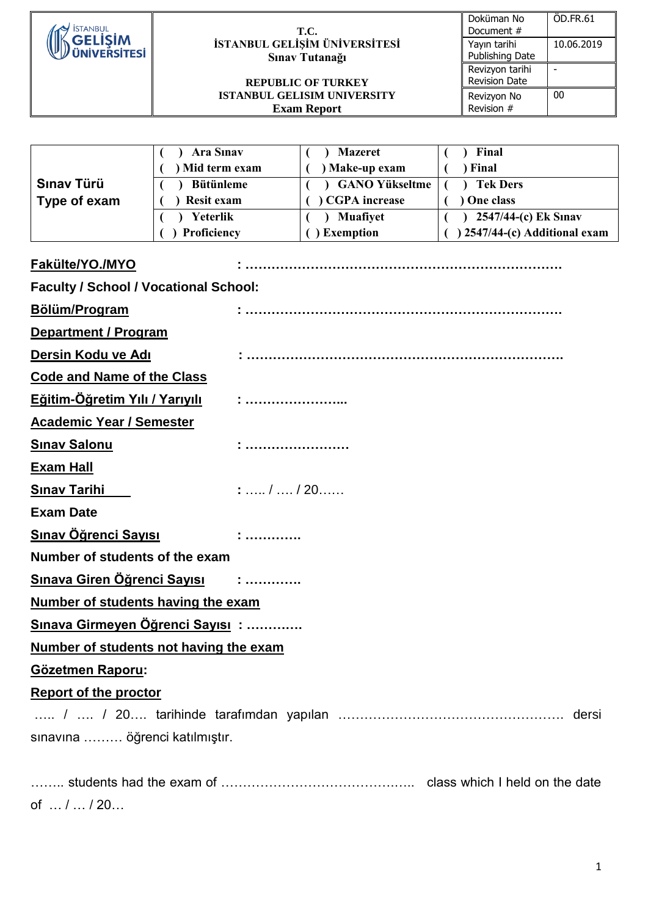| <b>İSTANBUL</b>                              |                                               | T.C.                                                     | ÖD.FR.61<br>Doküman No<br>Document #                 |  |  |
|----------------------------------------------|-----------------------------------------------|----------------------------------------------------------|------------------------------------------------------|--|--|
| <b>GELISIM</b>                               |                                               | İSTANBUL GELİŞİM ÜNİVERSİTESİ                            | 10.06.2019<br>Yayın tarihi                           |  |  |
| <b>IVERSITES</b>                             | Sınav Tutanağı                                |                                                          | Publishing Date<br>Revizyon tarihi<br>$\blacksquare$ |  |  |
|                                              |                                               | <b>REPUBLIC OF TURKEY</b>                                | <b>Revision Date</b>                                 |  |  |
|                                              |                                               | <b>ISTANBUL GELISIM UNIVERSITY</b><br><b>Exam Report</b> | 00<br>Revizyon No<br>Revision #                      |  |  |
|                                              |                                               |                                                          |                                                      |  |  |
|                                              |                                               |                                                          |                                                      |  |  |
|                                              | <b>Ara Sinav</b>                              | <b>Mazeret</b>                                           | Final                                                |  |  |
| Sınav Türü                                   | ) Mid term exam<br><b>Bütünleme</b>           | ) Make-up exam<br><b>GANO Yükseltme</b>                  | ) Final<br><b>Tek Ders</b>                           |  |  |
| Type of exam                                 | <b>Resit exam</b>                             | <b>CGPA</b> increase                                     | One class                                            |  |  |
|                                              | Yeterlik                                      | Muafiyet                                                 | 2547/44-(c) Ek Sınav                                 |  |  |
|                                              | Proficiency                                   | ) Exemption                                              | ) 2547/44-(c) Additional exam                        |  |  |
|                                              |                                               |                                                          |                                                      |  |  |
| Fakülte/YO./MYO                              |                                               |                                                          |                                                      |  |  |
| <b>Faculty / School / Vocational School:</b> |                                               |                                                          |                                                      |  |  |
| Bölüm/Program                                |                                               |                                                          |                                                      |  |  |
| <b>Department / Program</b>                  |                                               |                                                          |                                                      |  |  |
| Dersin Kodu ve Adı                           |                                               |                                                          |                                                      |  |  |
| <b>Code and Name of the Class</b>            |                                               |                                                          |                                                      |  |  |
| <b>Eğitim-Öğretim Yılı / Yarıyılı</b>        |                                               |                                                          |                                                      |  |  |
| <b>Academic Year / Semester</b>              |                                               |                                                          |                                                      |  |  |
| <b>Sinav Salonu</b>                          |                                               |                                                          |                                                      |  |  |
| <b>Exam Hall</b>                             |                                               |                                                          |                                                      |  |  |
| <b>Sinav Tarihi</b>                          | $: \ldots / \ldots / 20 \ldots$               |                                                          |                                                      |  |  |
| <b>Exam Date</b>                             |                                               |                                                          |                                                      |  |  |
| <b>Sınav Öğrenci Sayısı</b>                  |                                               |                                                          |                                                      |  |  |
| Number of students of the exam               |                                               |                                                          |                                                      |  |  |
|                                              | Sınava Giren Öğrenci Sayısı :                 |                                                          |                                                      |  |  |
| Number of students having the exam           |                                               |                                                          |                                                      |  |  |
|                                              | Sınava Girmeyen Öğrenci Sayısı:               |                                                          |                                                      |  |  |
|                                              | <b>Number of students not having the exam</b> |                                                          |                                                      |  |  |
| <b>Gözetmen Raporu:</b>                      |                                               |                                                          |                                                      |  |  |
| <b>Report of the proctor</b>                 |                                               |                                                          |                                                      |  |  |
|                                              |                                               |                                                          |                                                      |  |  |
| sınavına  öğrenci katılmıştır.               |                                               |                                                          |                                                      |  |  |
|                                              |                                               |                                                          |                                                      |  |  |
|                                              |                                               |                                                          |                                                      |  |  |

of … / … / 20…